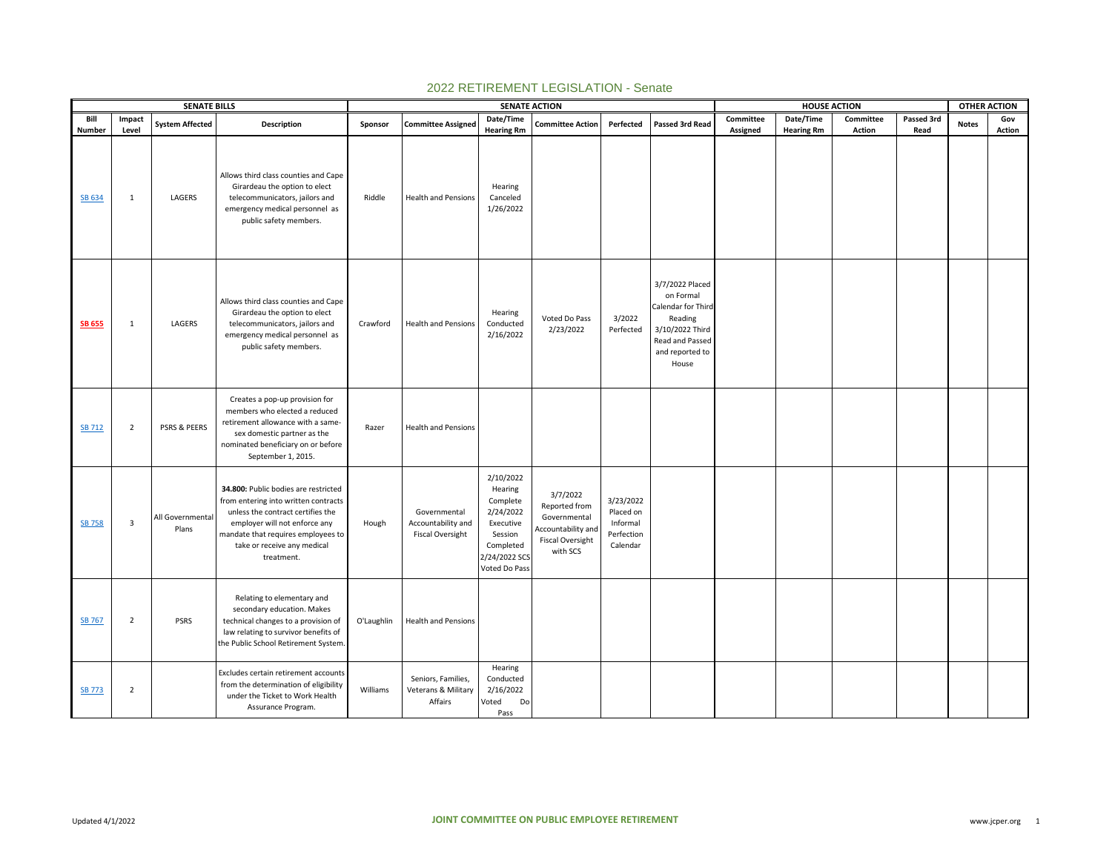|                  |                         | <b>SENATE BILLS</b>       |                                                                                                                                                                                                                                       |            |                                                               |                                                                                                                      | <b>SENATE ACTION</b>                                                                                   |                                                              |                                                                                                                                 |           | <b>HOUSE ACTION</b> |           |            | <b>OTHER ACTION</b> |               |
|------------------|-------------------------|---------------------------|---------------------------------------------------------------------------------------------------------------------------------------------------------------------------------------------------------------------------------------|------------|---------------------------------------------------------------|----------------------------------------------------------------------------------------------------------------------|--------------------------------------------------------------------------------------------------------|--------------------------------------------------------------|---------------------------------------------------------------------------------------------------------------------------------|-----------|---------------------|-----------|------------|---------------------|---------------|
| Bill             | Impact                  | <b>System Affected</b>    | Description                                                                                                                                                                                                                           | Sponsor    | <b>Committee Assigned</b>                                     | Date/Time                                                                                                            | <b>Committee Action</b>                                                                                | Perfected                                                    | Passed 3rd Read                                                                                                                 | Committee | Date/Time           | Committee | Passed 3rd | <b>Notes</b>        | Gov           |
| Number<br>SB 634 | Level<br>1              | LAGERS                    | Allows third class counties and Cape<br>Girardeau the option to elect<br>telecommunicators, jailors and<br>emergency medical personnel as<br>public safety members.                                                                   | Riddle     | <b>Health and Pensions</b>                                    | <b>Hearing Rm</b><br>Hearing<br>Canceled<br>1/26/2022                                                                |                                                                                                        |                                                              |                                                                                                                                 | Assigned  | <b>Hearing Rm</b>   | Action    | Read       |                     | <b>Action</b> |
| <b>SB 655</b>    | 1                       | LAGERS                    | Allows third class counties and Cape<br>Girardeau the option to elect<br>telecommunicators, jailors and<br>emergency medical personnel as<br>public safety members.                                                                   | Crawford   | <b>Health and Pensions</b>                                    | Hearing<br>Conducted<br>2/16/2022                                                                                    | Voted Do Pass<br>2/23/2022                                                                             | 3/2022<br>Perfected                                          | 3/7/2022 Placed<br>on Formal<br>Calendar for Third<br>Reading<br>3/10/2022 Third<br>Read and Passed<br>and reported to<br>House |           |                     |           |            |                     |               |
| <b>SB 712</b>    | $\overline{2}$          | PSRS & PEERS              | Creates a pop-up provision for<br>members who elected a reduced<br>retirement allowance with a same-<br>sex domestic partner as the<br>nominated beneficiary on or before<br>September 1, 2015.                                       | Razer      | <b>Health and Pensions</b>                                    |                                                                                                                      |                                                                                                        |                                                              |                                                                                                                                 |           |                     |           |            |                     |               |
| <b>SB 758</b>    | $\overline{\mathbf{3}}$ | All Governmental<br>Plans | 34.800: Public bodies are restricted<br>from entering into written contracts<br>unless the contract certifies the<br>employer will not enforce any<br>mandate that requires employees to<br>take or receive any medical<br>treatment. | Hough      | Governmental<br>Accountability and<br><b>Fiscal Oversight</b> | 2/10/2022<br>Hearing<br>Complete<br>2/24/2022<br>Executive<br>Session<br>Completed<br>2/24/2022 SCS<br>Voted Do Pass | 3/7/2022<br>Reported from<br>Governmental<br>Accountability and<br><b>Fiscal Oversight</b><br>with SCS | 3/23/2022<br>Placed on<br>Informal<br>Perfection<br>Calendar |                                                                                                                                 |           |                     |           |            |                     |               |
| <b>SB 767</b>    | $\overline{2}$          | <b>PSRS</b>               | Relating to elementary and<br>secondary education. Makes<br>technical changes to a provision of<br>law relating to survivor benefits of<br>the Public School Retirement System.                                                       | O'Laughlin | <b>Health and Pensions</b>                                    |                                                                                                                      |                                                                                                        |                                                              |                                                                                                                                 |           |                     |           |            |                     |               |
| <b>SB 773</b>    | $\overline{2}$          |                           | Excludes certain retirement accounts<br>from the determination of eligibility<br>under the Ticket to Work Health<br>Assurance Program.                                                                                                | Williams   | Seniors, Families,<br>Veterans & Military<br>Affairs          | Hearing<br>Conducted<br>2/16/2022<br>Voted<br>Do<br>Pass                                                             |                                                                                                        |                                                              |                                                                                                                                 |           |                     |           |            |                     |               |

## 2022 RETIREMENT LEGISLATION - Senate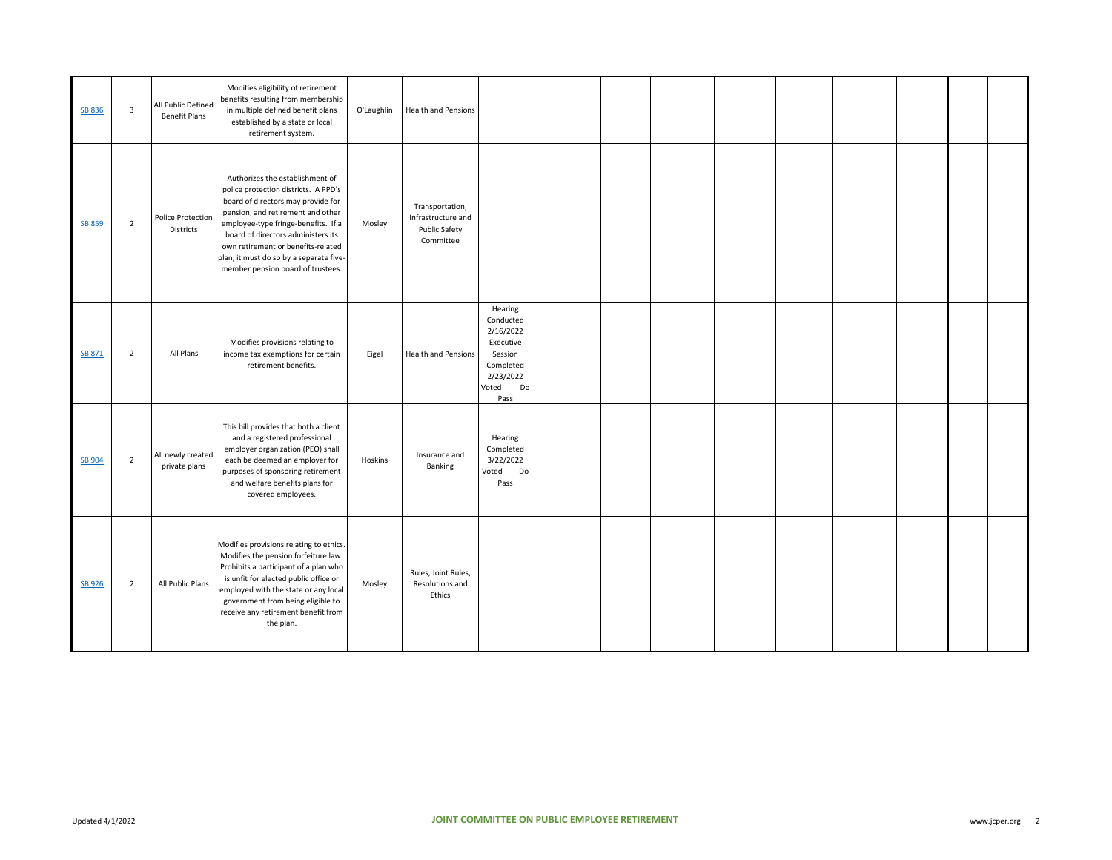| <b>SB 836</b> | 3              | All Public Defined<br><b>Benefit Plans</b> | Modifies eligibility of retirement<br>benefits resulting from membership<br>in multiple defined benefit plans<br>established by a state or local<br>retirement system.                                                                                                                                                                                | O'Laughlin | Health and Pensions                                                 |                                                                                                            |  |  |  |  |  |
|---------------|----------------|--------------------------------------------|-------------------------------------------------------------------------------------------------------------------------------------------------------------------------------------------------------------------------------------------------------------------------------------------------------------------------------------------------------|------------|---------------------------------------------------------------------|------------------------------------------------------------------------------------------------------------|--|--|--|--|--|
| <b>SB 859</b> | $\overline{2}$ | Police Protection<br>Districts             | Authorizes the establishment of<br>police protection districts. A PPD's<br>board of directors may provide for<br>pension, and retirement and other<br>employee-type fringe-benefits. If a<br>board of directors administers its<br>own retirement or benefits-related<br>plan, it must do so by a separate five-<br>member pension board of trustees. | Mosley     | Transportation,<br>Infrastructure and<br>Public Safety<br>Committee |                                                                                                            |  |  |  |  |  |
| <b>SB 871</b> | $\overline{2}$ | All Plans                                  | Modifies provisions relating to<br>income tax exemptions for certain<br>retirement benefits.                                                                                                                                                                                                                                                          | Eigel      | <b>Health and Pensions</b>                                          | Hearing<br>Conducted<br>2/16/2022<br>Executive<br>Session<br>Completed<br>2/23/2022<br>Voted<br>Do<br>Pass |  |  |  |  |  |
| <b>SB 904</b> | $\overline{2}$ | All newly created<br>private plans         | This bill provides that both a client<br>and a registered professional<br>employer organization (PEO) shall<br>each be deemed an employer for<br>purposes of sponsoring retirement<br>and welfare benefits plans for<br>covered employees.                                                                                                            | Hoskins    | Insurance and<br>Banking                                            | Hearing<br>Completed<br>3/22/2022<br>Do<br>Voted<br>Pass                                                   |  |  |  |  |  |
| <b>SB 926</b> | $\overline{2}$ | All Public Plans                           | Modifies provisions relating to ethics.<br>Modifies the pension forfeiture law.<br>Prohibits a participant of a plan who<br>is unfit for elected public office or<br>employed with the state or any local<br>government from being eligible to<br>receive any retirement benefit from<br>the plan.                                                    | Mosley     | Rules, Joint Rules,<br>Resolutions and<br>Ethics                    |                                                                                                            |  |  |  |  |  |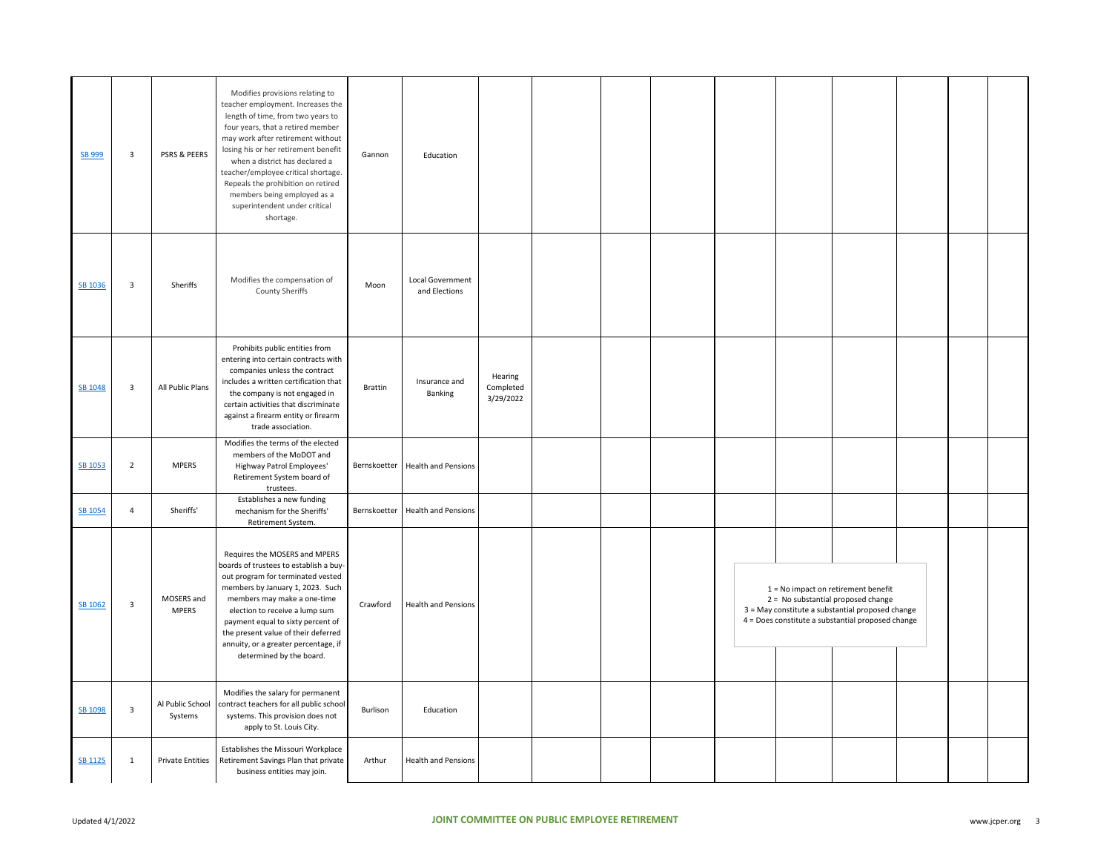| SB 999         | $\overline{\mathbf{3}}$ | PSRS & PEERS                | Modifies provisions relating to<br>teacher employment. Increases the<br>length of time, from two years to<br>four years, that a retired member<br>may work after retirement without<br>losing his or her retirement benefit<br>when a district has declared a<br>teacher/employee critical shortage.<br>Repeals the prohibition on retired<br>members being employed as a<br>superintendent under critical<br>shortage. | Gannon         | Education                          |                                   |  |  |                                                                                                                                                                                      |  |  |
|----------------|-------------------------|-----------------------------|-------------------------------------------------------------------------------------------------------------------------------------------------------------------------------------------------------------------------------------------------------------------------------------------------------------------------------------------------------------------------------------------------------------------------|----------------|------------------------------------|-----------------------------------|--|--|--------------------------------------------------------------------------------------------------------------------------------------------------------------------------------------|--|--|
| SB 1036        | $\overline{\mathbf{3}}$ | Sheriffs                    | Modifies the compensation of<br>County Sheriffs                                                                                                                                                                                                                                                                                                                                                                         | Moon           | Local Government<br>and Elections  |                                   |  |  |                                                                                                                                                                                      |  |  |
| SB 1048        | $\overline{\mathbf{3}}$ | All Public Plans            | Prohibits public entities from<br>entering into certain contracts with<br>companies unless the contract<br>includes a written certification that<br>the company is not engaged in<br>certain activities that discriminate<br>against a firearm entity or firearm<br>trade association.                                                                                                                                  | <b>Brattin</b> | Insurance and<br>Banking           | Hearing<br>Completed<br>3/29/2022 |  |  |                                                                                                                                                                                      |  |  |
| SB 1053        | $\overline{2}$          | <b>MPERS</b>                | Modifies the terms of the elected<br>members of the MoDOT and<br>Highway Patrol Employees'<br>Retirement System board of<br>trustees.                                                                                                                                                                                                                                                                                   |                | Bernskoetter   Health and Pensions |                                   |  |  |                                                                                                                                                                                      |  |  |
| SB 1054        | $\overline{4}$          | Sheriffs'                   | Establishes a new funding<br>mechanism for the Sheriffs'<br>Retirement System.                                                                                                                                                                                                                                                                                                                                          | Bernskoetter   | <b>Health and Pensions</b>         |                                   |  |  |                                                                                                                                                                                      |  |  |
| SB 1062        | $\overline{\mathbf{3}}$ | MOSERS and<br><b>MPERS</b>  | Requires the MOSERS and MPERS<br>boards of trustees to establish a buy-<br>out program for terminated vested<br>members by January 1, 2023. Such<br>members may make a one-time<br>election to receive a lump sum<br>payment equal to sixty percent of<br>the present value of their deferred<br>annuity, or a greater percentage, if<br>determined by the board.                                                       | Crawford       | <b>Health and Pensions</b>         |                                   |  |  | $1 = No$ impact on retirement benefit<br>2 = No substantial proposed change<br>3 = May constitute a substantial proposed change<br>4 = Does constitute a substantial proposed change |  |  |
| SB 1098        | $\overline{\mathbf{3}}$ | Al Public School<br>Systems | Modifies the salary for permanent<br>contract teachers for all public school<br>systems. This provision does not<br>apply to St. Louis City.                                                                                                                                                                                                                                                                            | Burlison       | Education                          |                                   |  |  |                                                                                                                                                                                      |  |  |
| <b>SB 1125</b> | $\mathbf{1}$            | <b>Private Entities</b>     | Establishes the Missouri Workplace<br>Retirement Savings Plan that private<br>business entities may join.                                                                                                                                                                                                                                                                                                               | Arthur         | <b>Health and Pensions</b>         |                                   |  |  |                                                                                                                                                                                      |  |  |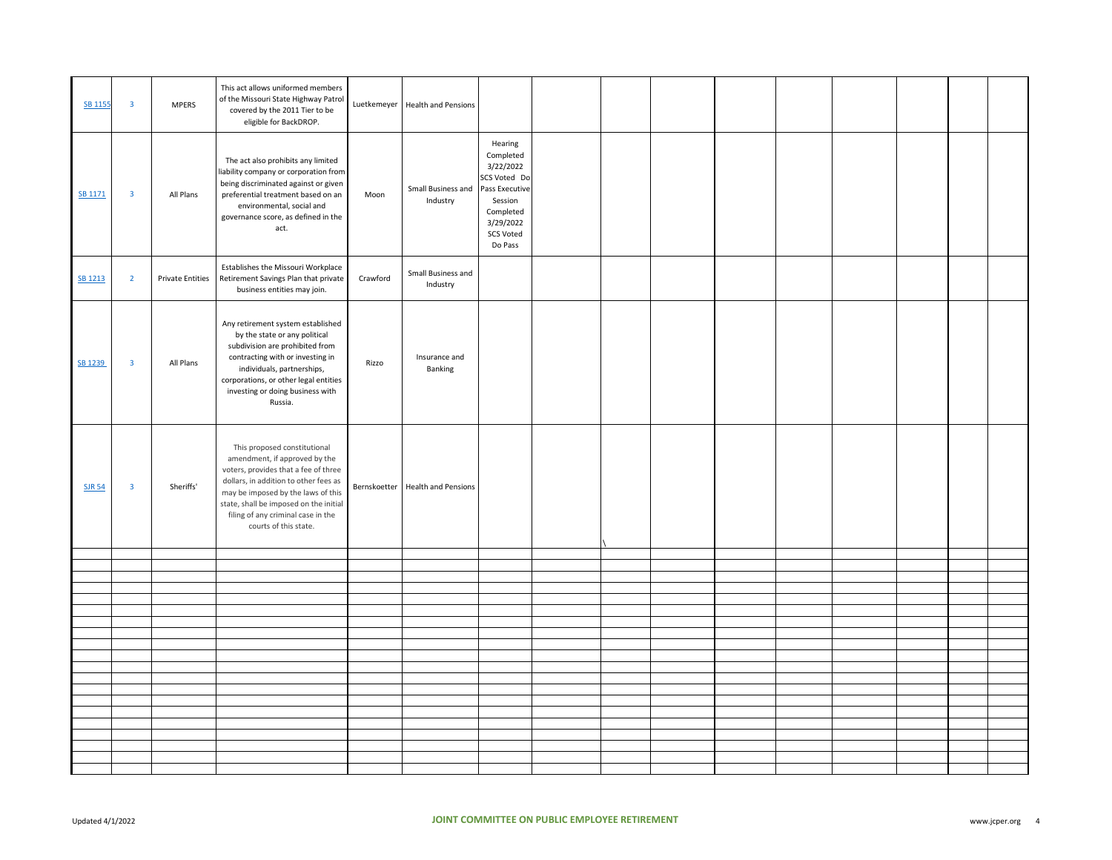| <b>SB 1155</b> | $\overline{\mathbf{3}}$ | <b>MPERS</b>            | This act allows uniformed members<br>of the Missouri State Highway Patrol<br>covered by the 2011 Tier to be<br>eligible for BackDROP.                                                                                                                                                         |          | Luetkemeyer Health and Pensions  |                                                                                                                                         |  |  |  |  |  |
|----------------|-------------------------|-------------------------|-----------------------------------------------------------------------------------------------------------------------------------------------------------------------------------------------------------------------------------------------------------------------------------------------|----------|----------------------------------|-----------------------------------------------------------------------------------------------------------------------------------------|--|--|--|--|--|
| SB 1171        | $\overline{\mathbf{3}}$ | All Plans               | The act also prohibits any limited<br>liability company or corporation from<br>being discriminated against or given<br>preferential treatment based on an<br>environmental, social and<br>governance score, as defined in the<br>act.                                                         | Moon     | Small Business and<br>Industry   | Hearing<br>Completed<br>3/22/2022<br>SCS Voted Do<br>Pass Executive<br>Session<br>Completed<br>3/29/2022<br><b>SCS Voted</b><br>Do Pass |  |  |  |  |  |
| SB 1213        | $\overline{2}$          | <b>Private Entities</b> | Establishes the Missouri Workplace<br>Retirement Savings Plan that private<br>business entities may join.                                                                                                                                                                                     | Crawford | Small Business and<br>Industry   |                                                                                                                                         |  |  |  |  |  |
| SB 1239        | $\overline{\mathbf{3}}$ | All Plans               | Any retirement system established<br>by the state or any political<br>subdivision are prohibited from<br>contracting with or investing in<br>individuals, partnerships,<br>corporations, or other legal entities<br>investing or doing business with<br>Russia.                               | Rizzo    | Insurance and<br>Banking         |                                                                                                                                         |  |  |  |  |  |
| <b>SJR 54</b>  | $\overline{\mathbf{3}}$ | Sheriffs'               | This proposed constitutional<br>amendment, if approved by the<br>voters, provides that a fee of three<br>dollars, in addition to other fees as<br>may be imposed by the laws of this<br>state, shall be imposed on the initial<br>filing of any criminal case in the<br>courts of this state. |          | Bernskoetter Health and Pensions |                                                                                                                                         |  |  |  |  |  |
|                |                         |                         |                                                                                                                                                                                                                                                                                               |          |                                  |                                                                                                                                         |  |  |  |  |  |
|                |                         |                         |                                                                                                                                                                                                                                                                                               |          |                                  |                                                                                                                                         |  |  |  |  |  |
|                |                         |                         |                                                                                                                                                                                                                                                                                               |          |                                  |                                                                                                                                         |  |  |  |  |  |
|                |                         |                         |                                                                                                                                                                                                                                                                                               |          |                                  |                                                                                                                                         |  |  |  |  |  |
|                |                         |                         |                                                                                                                                                                                                                                                                                               |          |                                  |                                                                                                                                         |  |  |  |  |  |
|                |                         |                         |                                                                                                                                                                                                                                                                                               |          |                                  |                                                                                                                                         |  |  |  |  |  |
|                |                         |                         |                                                                                                                                                                                                                                                                                               |          |                                  |                                                                                                                                         |  |  |  |  |  |
|                |                         |                         |                                                                                                                                                                                                                                                                                               |          |                                  |                                                                                                                                         |  |  |  |  |  |
|                |                         |                         |                                                                                                                                                                                                                                                                                               |          |                                  |                                                                                                                                         |  |  |  |  |  |
|                |                         |                         |                                                                                                                                                                                                                                                                                               |          |                                  |                                                                                                                                         |  |  |  |  |  |
|                |                         |                         |                                                                                                                                                                                                                                                                                               |          |                                  |                                                                                                                                         |  |  |  |  |  |
|                |                         |                         |                                                                                                                                                                                                                                                                                               |          |                                  |                                                                                                                                         |  |  |  |  |  |
|                |                         |                         |                                                                                                                                                                                                                                                                                               |          |                                  |                                                                                                                                         |  |  |  |  |  |
|                |                         |                         |                                                                                                                                                                                                                                                                                               |          |                                  |                                                                                                                                         |  |  |  |  |  |
|                |                         |                         |                                                                                                                                                                                                                                                                                               |          |                                  |                                                                                                                                         |  |  |  |  |  |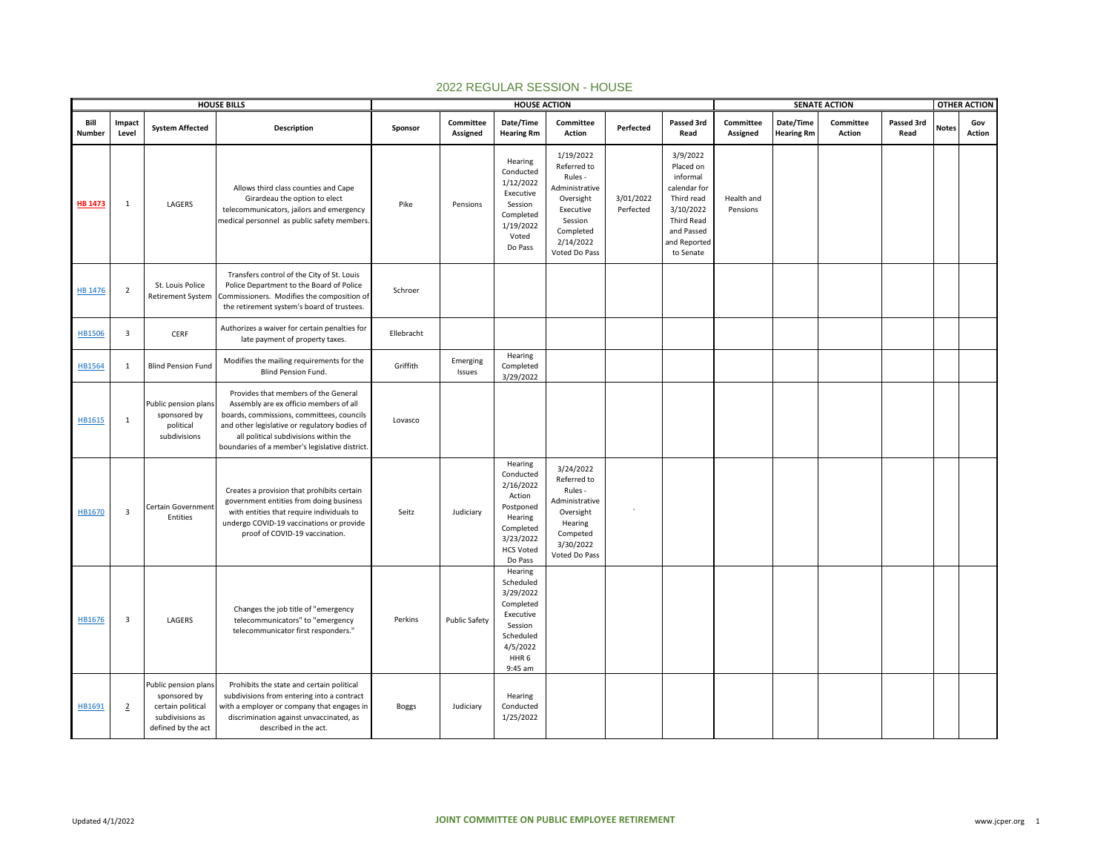|                |                         |                                                                                                    | <b>HOUSE BILLS</b>                                                                                                                                                                                                                                                     |              |                       | <b>HOUSE ACTION</b>                                                                                                            |                                                                                                                                       |                        |                                                                                                                                              |                        |                                | <b>SENATE ACTION</b> |                    |              | <b>OTHER ACTION</b> |
|----------------|-------------------------|----------------------------------------------------------------------------------------------------|------------------------------------------------------------------------------------------------------------------------------------------------------------------------------------------------------------------------------------------------------------------------|--------------|-----------------------|--------------------------------------------------------------------------------------------------------------------------------|---------------------------------------------------------------------------------------------------------------------------------------|------------------------|----------------------------------------------------------------------------------------------------------------------------------------------|------------------------|--------------------------------|----------------------|--------------------|--------------|---------------------|
| Bill<br>Number | Impact<br>Level         | <b>System Affected</b>                                                                             | Description                                                                                                                                                                                                                                                            | Sponsor      | Committee<br>Assigned | Date/Time<br><b>Hearing Rm</b>                                                                                                 | Committee<br>Action                                                                                                                   | Perfected              | Passed 3rd<br>Read                                                                                                                           | Committee<br>Assigned  | Date/Time<br><b>Hearing Rm</b> | Committee<br>Action  | Passed 3rd<br>Read | <b>Notes</b> | Gov<br>Action       |
| <b>HB 1473</b> | 1                       | LAGERS                                                                                             | Allows third class counties and Cape<br>Girardeau the option to elect<br>telecommunicators, jailors and emergency<br>medical personnel as public safety members.                                                                                                       | Pike         | Pensions              | Hearing<br>Conducted<br>1/12/2022<br>Executive<br>Session<br>Completed<br>1/19/2022<br>Voted<br>Do Pass                        | 1/19/2022<br>Referred to<br>Rules -<br>Administrative<br>Oversight<br>Executive<br>Session<br>Completed<br>2/14/2022<br>Voted Do Pass | 3/01/2022<br>Perfected | 3/9/2022<br>Placed on<br>informal<br>calendar for<br>Third read<br>3/10/2022<br><b>Third Read</b><br>and Passed<br>and Reported<br>to Senate | Health and<br>Pensions |                                |                      |                    |              |                     |
| <b>HB 1476</b> | $\overline{2}$          | St. Louis Police<br>Retirement System                                                              | Transfers control of the City of St. Louis<br>Police Department to the Board of Police<br>Commissioners. Modifies the composition of<br>the retirement system's board of trustees.                                                                                     | Schroer      |                       |                                                                                                                                |                                                                                                                                       |                        |                                                                                                                                              |                        |                                |                      |                    |              |                     |
| <b>HB1506</b>  | $\overline{\mathbf{3}}$ | CERF                                                                                               | Authorizes a waiver for certain penalties for<br>late payment of property taxes.                                                                                                                                                                                       | Ellebracht   |                       |                                                                                                                                |                                                                                                                                       |                        |                                                                                                                                              |                        |                                |                      |                    |              |                     |
| <b>HB1564</b>  | $\mathbf{1}$            | <b>Blind Pension Fund</b>                                                                          | Modifies the mailing requirements for the<br><b>Blind Pension Fund.</b>                                                                                                                                                                                                | Griffith     | Emerging<br>Issues    | Hearing<br>Completed<br>3/29/2022                                                                                              |                                                                                                                                       |                        |                                                                                                                                              |                        |                                |                      |                    |              |                     |
| HB1615         | $\mathbf{1}$            | Public pension plans<br>sponsored by<br>political<br>subdivisions                                  | Provides that members of the General<br>Assembly are ex officio members of all<br>boards, commissions, committees, councils<br>and other legislative or regulatory bodies of<br>all political subdivisions within the<br>boundaries of a member's legislative district | Lovasco      |                       |                                                                                                                                |                                                                                                                                       |                        |                                                                                                                                              |                        |                                |                      |                    |              |                     |
| HB1670         | $\overline{\mathbf{3}}$ | Certain Government<br>Entities                                                                     | Creates a provision that prohibits certain<br>government entities from doing business<br>with entities that require individuals to<br>undergo COVID-19 vaccinations or provide<br>proof of COVID-19 vaccination.                                                       | Seitz        | Judiciary             | Hearing<br>Conducted<br>2/16/2022<br>Action<br>Postponed<br>Hearing<br>Completed<br>3/23/2022<br><b>HCS Voted</b><br>Do Pass   | 3/24/2022<br>Referred to<br>Rules -<br>Administrative<br>Oversight<br>Hearing<br>Competed<br>3/30/2022<br>Voted Do Pass               |                        |                                                                                                                                              |                        |                                |                      |                    |              |                     |
| HB1676         | $\overline{\mathbf{3}}$ | LAGERS                                                                                             | Changes the job title of "emergency<br>telecommunicators" to "emergency<br>telecommunicator first responders."                                                                                                                                                         | Perkins      | <b>Public Safety</b>  | Hearing<br>Scheduled<br>3/29/2022<br>Completed<br>Executive<br>Session<br>Scheduled<br>4/5/2022<br>HHR <sub>6</sub><br>9:45 am |                                                                                                                                       |                        |                                                                                                                                              |                        |                                |                      |                    |              |                     |
| HB1691         | $\overline{2}$          | Public pension plans<br>sponsored by<br>certain political<br>subdivisions as<br>defined by the act | Prohibits the state and certain political<br>subdivisions from entering into a contract<br>with a employer or company that engages in<br>discrimination against unvaccinated, as<br>described in the act.                                                              | <b>Boggs</b> | Judiciary             | Hearing<br>Conducted<br>1/25/2022                                                                                              |                                                                                                                                       |                        |                                                                                                                                              |                        |                                |                      |                    |              |                     |

## 2022 REGULAR SESSION - HOUSE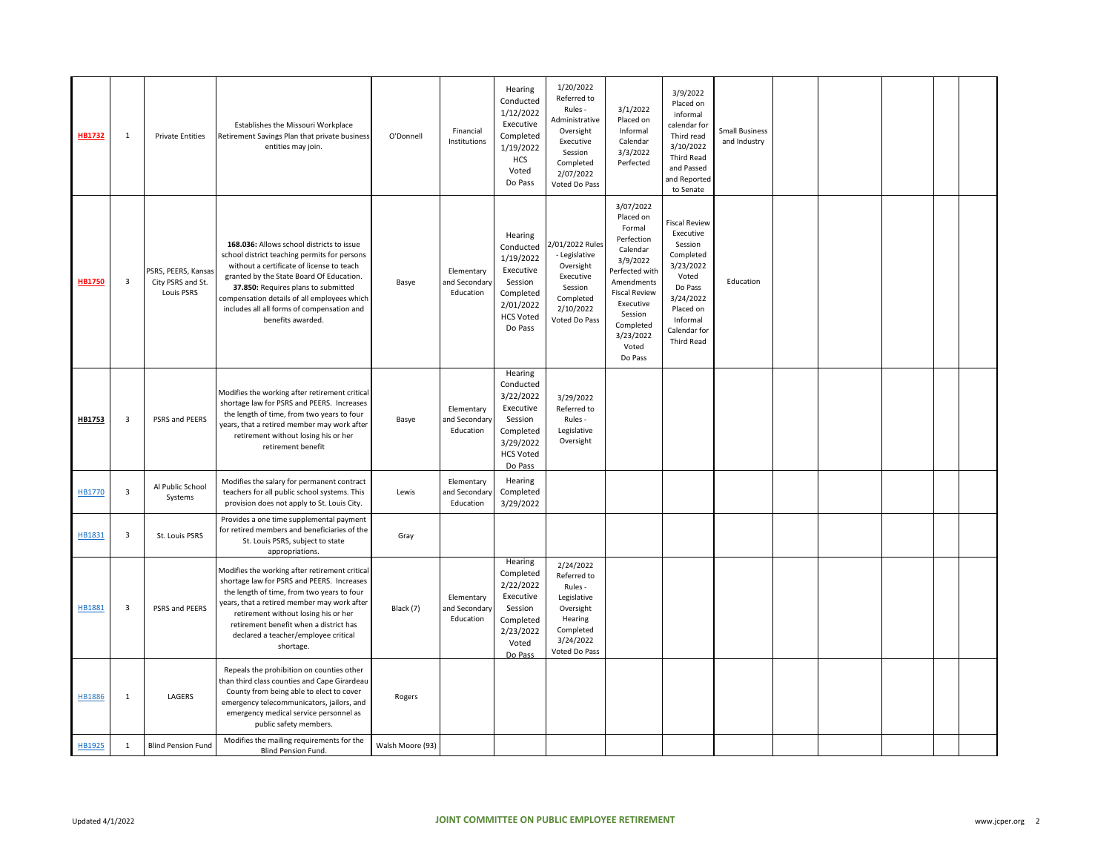| HB1732        | 1                       | <b>Private Entities</b>                                | Establishes the Missouri Workplace<br>Retirement Savings Plan that private business<br>entities may join.                                                                                                                                                                                                                                   | O'Donnell        | Financial<br>Institutions                | Hearing<br>Conducted<br>1/12/2022<br>Executive<br>Completed<br>1/19/2022<br>HCS<br>Voted<br>Do Pass                | 1/20/2022<br>Referred to<br>Rules -<br>Administrative<br>Oversight<br>Executive<br>Session<br>Completed<br>2/07/2022<br>Voted Do Pass | 3/1/2022<br>Placed on<br>Informal<br>Calendar<br>3/3/2022<br>Perfected                                                                                                                               | 3/9/2022<br>Placed on<br>informal<br>calendar for<br>Third read<br>3/10/2022<br><b>Third Read</b><br>and Passed<br>and Reported<br>to Senate                          | <b>Small Business</b><br>and Industry |  |  |  |
|---------------|-------------------------|--------------------------------------------------------|---------------------------------------------------------------------------------------------------------------------------------------------------------------------------------------------------------------------------------------------------------------------------------------------------------------------------------------------|------------------|------------------------------------------|--------------------------------------------------------------------------------------------------------------------|---------------------------------------------------------------------------------------------------------------------------------------|------------------------------------------------------------------------------------------------------------------------------------------------------------------------------------------------------|-----------------------------------------------------------------------------------------------------------------------------------------------------------------------|---------------------------------------|--|--|--|
| <b>HB1750</b> | $\overline{\mathbf{3}}$ | PSRS, PEERS, Kansas<br>City PSRS and St.<br>Louis PSRS | 168.036: Allows school districts to issue<br>school district teaching permits for persons<br>without a certificate of license to teach<br>granted by the State Board Of Education.<br>37.850: Requires plans to submitted<br>compensation details of all employees which<br>includes all all forms of compensation and<br>benefits awarded. | Basye            | Elementary<br>and Secondary<br>Education | Hearing<br>Conducted<br>1/19/2022<br>Executive<br>Session<br>Completed<br>2/01/2022<br><b>HCS Voted</b><br>Do Pass | /01/2022 Rules<br>- Legislative<br>Oversight<br>Executive<br>Session<br>Completed<br>2/10/2022<br>Voted Do Pass                       | 3/07/2022<br>Placed on<br>Formal<br>Perfection<br>Calendar<br>3/9/2022<br>Perfected with<br>Amendments<br><b>Fiscal Review</b><br>Executive<br>Session<br>Completed<br>3/23/2022<br>Voted<br>Do Pass | <b>Fiscal Review</b><br>Executive<br>Session<br>Completed<br>3/23/2022<br>Voted<br>Do Pass<br>3/24/2022<br>Placed on<br>Informal<br>Calendar for<br><b>Third Read</b> | Education                             |  |  |  |
| HB1753        | 3                       | PSRS and PEERS                                         | Modifies the working after retirement critical<br>shortage law for PSRS and PEERS. Increases<br>the length of time, from two years to four<br>years, that a retired member may work after<br>retirement without losing his or her<br>retirement benefit                                                                                     | Basye            | Elementary<br>and Secondary<br>Education | Hearing<br>Conducted<br>3/22/2022<br>Executive<br>Session<br>Completed<br>3/29/2022<br><b>HCS Voted</b><br>Do Pass | 3/29/2022<br>Referred to<br>Rules -<br>Legislative<br>Oversight                                                                       |                                                                                                                                                                                                      |                                                                                                                                                                       |                                       |  |  |  |
| HB1770        | $\overline{\mathbf{3}}$ | Al Public School<br>Systems                            | Modifies the salary for permanent contract<br>teachers for all public school systems. This<br>provision does not apply to St. Louis City.                                                                                                                                                                                                   | Lewis            | Elementary<br>and Secondary<br>Education | Hearing<br>Completed<br>3/29/2022                                                                                  |                                                                                                                                       |                                                                                                                                                                                                      |                                                                                                                                                                       |                                       |  |  |  |
| HB1831        | $\overline{3}$          | St. Louis PSRS                                         | Provides a one time supplemental payment<br>for retired members and beneficiaries of the<br>St. Louis PSRS, subject to state<br>appropriations.                                                                                                                                                                                             | Gray             |                                          |                                                                                                                    |                                                                                                                                       |                                                                                                                                                                                                      |                                                                                                                                                                       |                                       |  |  |  |
| HB1881        | 3                       | PSRS and PEERS                                         | Modifies the working after retirement critical<br>shortage law for PSRS and PEERS. Increases<br>the length of time, from two years to four<br>years, that a retired member may work after<br>retirement without losing his or her<br>retirement benefit when a district has<br>declared a teacher/employee critical<br>shortage.            | Black (7)        | Elementary<br>and Secondary<br>Education | Hearing<br>Completed<br>2/22/2022<br>Executive<br>Session<br>Completed<br>2/23/2022<br>Voted<br>Do Pass            | 2/24/2022<br>Referred to<br>Rules -<br>Legislative<br>Oversight<br>Hearing<br>Completed<br>3/24/2022<br>Voted Do Pass                 |                                                                                                                                                                                                      |                                                                                                                                                                       |                                       |  |  |  |
| <b>HB1886</b> | $\mathbf{1}$            | LAGERS                                                 | Repeals the prohibition on counties other<br>than third class counties and Cape Girardeau<br>County from being able to elect to cover<br>emergency telecommunicators, jailors, and<br>emergency medical service personnel as<br>public safety members.                                                                                      | Rogers           |                                          |                                                                                                                    |                                                                                                                                       |                                                                                                                                                                                                      |                                                                                                                                                                       |                                       |  |  |  |
| HB1925        | $\mathbf{1}$            | <b>Blind Pension Fund</b>                              | Modifies the mailing requirements for the<br>Blind Pension Fund.                                                                                                                                                                                                                                                                            | Walsh Moore (93) |                                          |                                                                                                                    |                                                                                                                                       |                                                                                                                                                                                                      |                                                                                                                                                                       |                                       |  |  |  |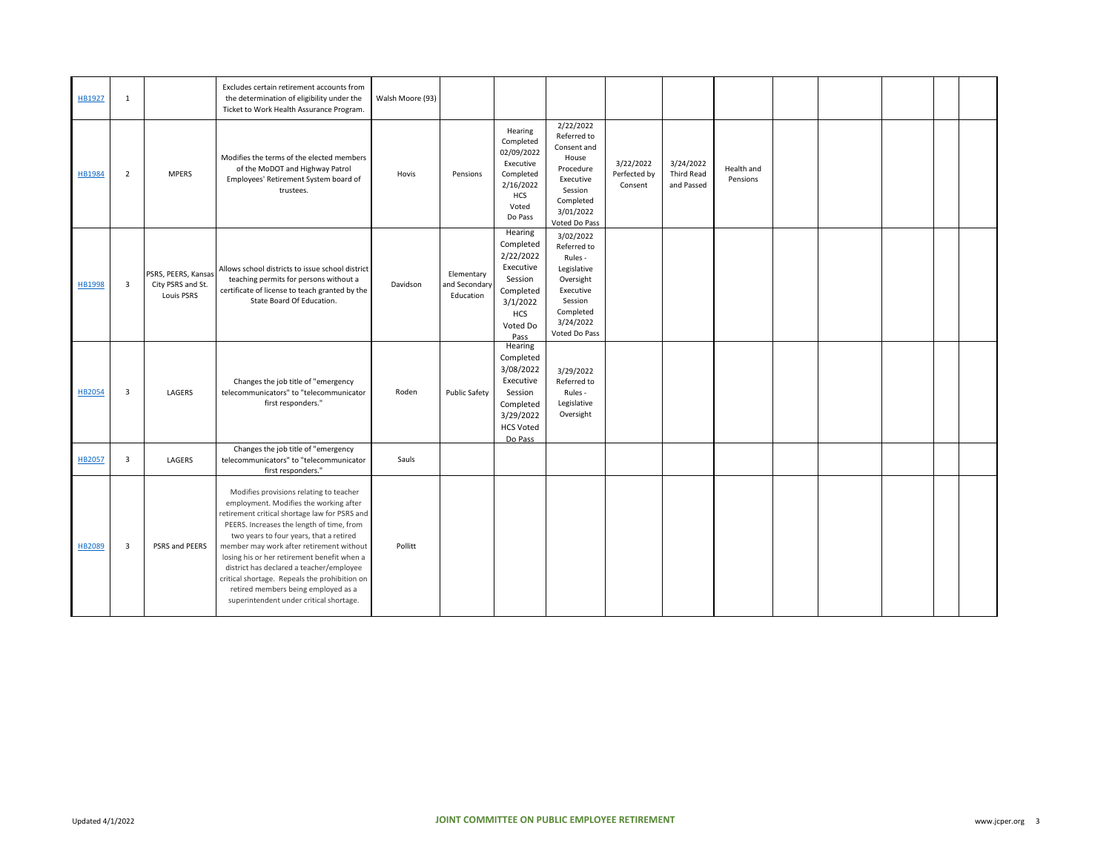| HB1927        | 1                       |                                                        | Excludes certain retirement accounts from<br>the determination of eligibility under the<br>Ticket to Work Health Assurance Program.                                                                                                                                                                                                                                                                                                                                                                  | Walsh Moore (93) |                                          |                                                                                                                      |                                                                                                                                    |                                      |                                              |                        |  |  |  |
|---------------|-------------------------|--------------------------------------------------------|------------------------------------------------------------------------------------------------------------------------------------------------------------------------------------------------------------------------------------------------------------------------------------------------------------------------------------------------------------------------------------------------------------------------------------------------------------------------------------------------------|------------------|------------------------------------------|----------------------------------------------------------------------------------------------------------------------|------------------------------------------------------------------------------------------------------------------------------------|--------------------------------------|----------------------------------------------|------------------------|--|--|--|
| HB1984        | $\overline{2}$          | <b>MPERS</b>                                           | Modifies the terms of the elected members<br>of the MoDOT and Highway Patrol<br>Employees' Retirement System board of<br>trustees.                                                                                                                                                                                                                                                                                                                                                                   | Hovis            | Pensions                                 | Hearing<br>Completed<br>02/09/2022<br>Executive<br>Completed<br>2/16/2022<br>HCS<br>Voted<br>Do Pass                 | 2/22/2022<br>Referred to<br>Consent and<br>House<br>Procedure<br>Executive<br>Session<br>Completed<br>3/01/2022<br>Voted Do Pass   | 3/22/2022<br>Perfected by<br>Consent | 3/24/2022<br><b>Third Read</b><br>and Passed | Health and<br>Pensions |  |  |  |
| HB1998        | $\overline{3}$          | PSRS, PEERS, Kansas<br>City PSRS and St.<br>Louis PSRS | Allows school districts to issue school district<br>teaching permits for persons without a<br>certificate of license to teach granted by the<br>State Board Of Education.                                                                                                                                                                                                                                                                                                                            | Davidson         | Elementary<br>and Secondary<br>Education | Hearing<br>Completed<br>2/22/2022<br>Executive<br>Session<br>Completed<br>3/1/2022<br><b>HCS</b><br>Voted Do<br>Pass | 3/02/2022<br>Referred to<br>Rules -<br>Legislative<br>Oversight<br>Executive<br>Session<br>Completed<br>3/24/2022<br>Voted Do Pass |                                      |                                              |                        |  |  |  |
| <b>HB2054</b> | $\overline{\mathbf{3}}$ | LAGERS                                                 | Changes the job title of "emergency<br>telecommunicators" to "telecommunicator<br>first responders."                                                                                                                                                                                                                                                                                                                                                                                                 | Roden            | <b>Public Safety</b>                     | Hearing<br>Completed<br>3/08/2022<br>Executive<br>Session<br>Completed<br>3/29/2022<br><b>HCS Voted</b><br>Do Pass   | 3/29/2022<br>Referred to<br>Rules -<br>Legislative<br>Oversight                                                                    |                                      |                                              |                        |  |  |  |
| <b>HB2057</b> | $\overline{\mathbf{3}}$ | LAGERS                                                 | Changes the job title of "emergency<br>telecommunicators" to "telecommunicator<br>first responders."                                                                                                                                                                                                                                                                                                                                                                                                 | Sauls            |                                          |                                                                                                                      |                                                                                                                                    |                                      |                                              |                        |  |  |  |
| <b>HB2089</b> | $\overline{\mathbf{3}}$ | PSRS and PEERS                                         | Modifies provisions relating to teacher<br>employment. Modifies the working after<br>retirement critical shortage law for PSRS and<br>PEERS. Increases the length of time, from<br>two years to four years, that a retired<br>member may work after retirement without<br>losing his or her retirement benefit when a<br>district has declared a teacher/employee<br>critical shortage. Repeals the prohibition on<br>retired members being employed as a<br>superintendent under critical shortage. | Pollitt          |                                          |                                                                                                                      |                                                                                                                                    |                                      |                                              |                        |  |  |  |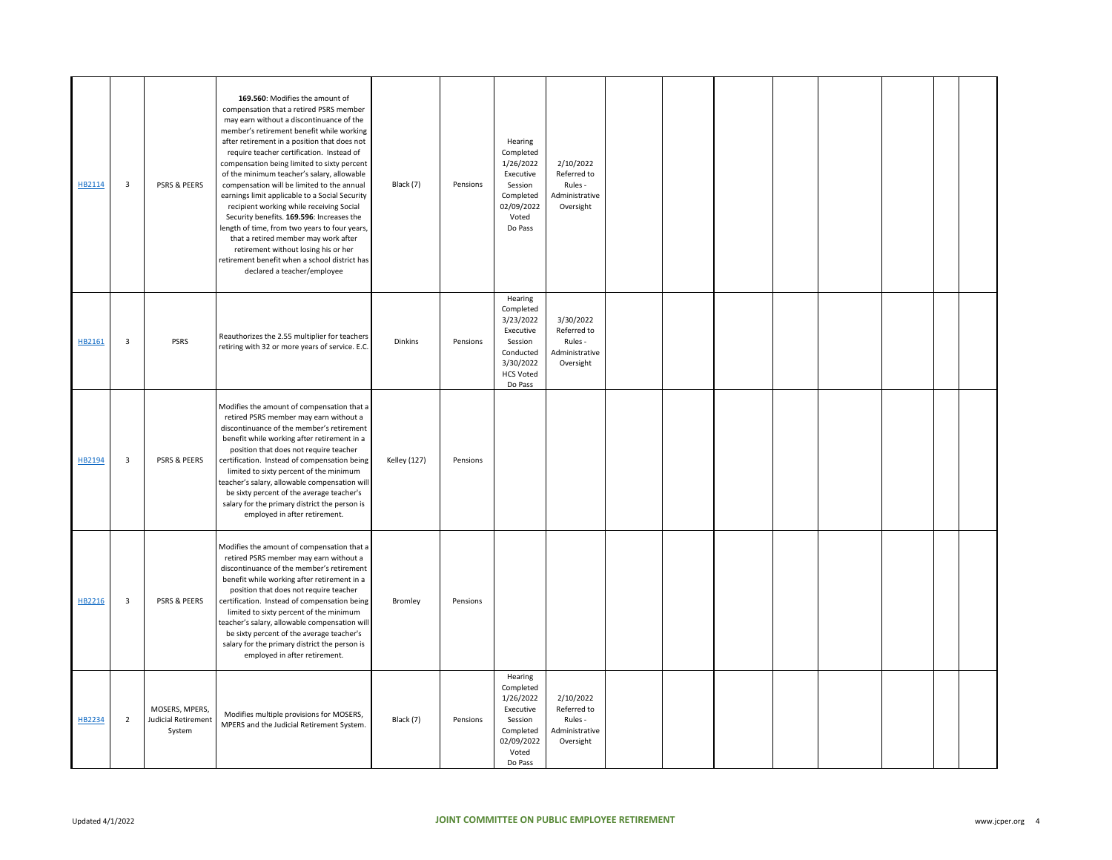| HB2114 | 3              | PSRS & PEERS                                           | 169.560: Modifies the amount of<br>compensation that a retired PSRS member<br>may earn without a discontinuance of the<br>member's retirement benefit while working<br>after retirement in a position that does not<br>require teacher certification. Instead of<br>compensation being limited to sixty percent<br>of the minimum teacher's salary, allowable<br>compensation will be limited to the annual<br>earnings limit applicable to a Social Security<br>recipient working while receiving Social<br>Security benefits. 169.596: Increases the<br>length of time, from two years to four years,<br>that a retired member may work after<br>retirement without losing his or her<br>retirement benefit when a school district has<br>declared a teacher/employee | Black (7)           | Pensions | Hearing<br>Completed<br>1/26/2022<br>Executive<br>Session<br>Completed<br>02/09/2022<br>Voted<br>Do Pass           | 2/10/2022<br>Referred to<br>Rules -<br>Administrative<br>Oversight |  |  |  |  |
|--------|----------------|--------------------------------------------------------|-------------------------------------------------------------------------------------------------------------------------------------------------------------------------------------------------------------------------------------------------------------------------------------------------------------------------------------------------------------------------------------------------------------------------------------------------------------------------------------------------------------------------------------------------------------------------------------------------------------------------------------------------------------------------------------------------------------------------------------------------------------------------|---------------------|----------|--------------------------------------------------------------------------------------------------------------------|--------------------------------------------------------------------|--|--|--|--|
| HB2161 | 3              | <b>PSRS</b>                                            | Reauthorizes the 2.55 multiplier for teachers<br>retiring with 32 or more years of service. E.C.                                                                                                                                                                                                                                                                                                                                                                                                                                                                                                                                                                                                                                                                        | Dinkins             | Pensions | Hearing<br>Completed<br>3/23/2022<br>Executive<br>Session<br>Conducted<br>3/30/2022<br><b>HCS Voted</b><br>Do Pass | 3/30/2022<br>Referred to<br>Rules -<br>Administrative<br>Oversight |  |  |  |  |
| HB2194 | 3              | PSRS & PEERS                                           | Modifies the amount of compensation that a<br>retired PSRS member may earn without a<br>discontinuance of the member's retirement<br>benefit while working after retirement in a<br>position that does not require teacher<br>certification. Instead of compensation being<br>limited to sixty percent of the minimum<br>teacher's salary, allowable compensation will<br>be sixty percent of the average teacher's<br>salary for the primary district the person is<br>employed in after retirement.                                                                                                                                                                                                                                                                   | <b>Kelley (127)</b> | Pensions |                                                                                                                    |                                                                    |  |  |  |  |
| HB2216 | 3              | PSRS & PEERS                                           | Modifies the amount of compensation that a<br>retired PSRS member may earn without a<br>discontinuance of the member's retirement<br>benefit while working after retirement in a<br>position that does not require teacher<br>certification. Instead of compensation being<br>limited to sixty percent of the minimum<br>teacher's salary, allowable compensation will<br>be sixty percent of the average teacher's<br>salary for the primary district the person is<br>employed in after retirement.                                                                                                                                                                                                                                                                   | Bromley             | Pensions |                                                                                                                    |                                                                    |  |  |  |  |
| HB2234 | $\overline{2}$ | MOSERS, MPERS,<br><b>Judicial Retirement</b><br>System | Modifies multiple provisions for MOSERS,<br>MPERS and the Judicial Retirement System.                                                                                                                                                                                                                                                                                                                                                                                                                                                                                                                                                                                                                                                                                   | Black (7)           | Pensions | Hearing<br>Completed<br>1/26/2022<br>Executive<br>Session<br>Completed<br>02/09/2022<br>Voted<br>Do Pass           | 2/10/2022<br>Referred to<br>Rules -<br>Administrative<br>Oversight |  |  |  |  |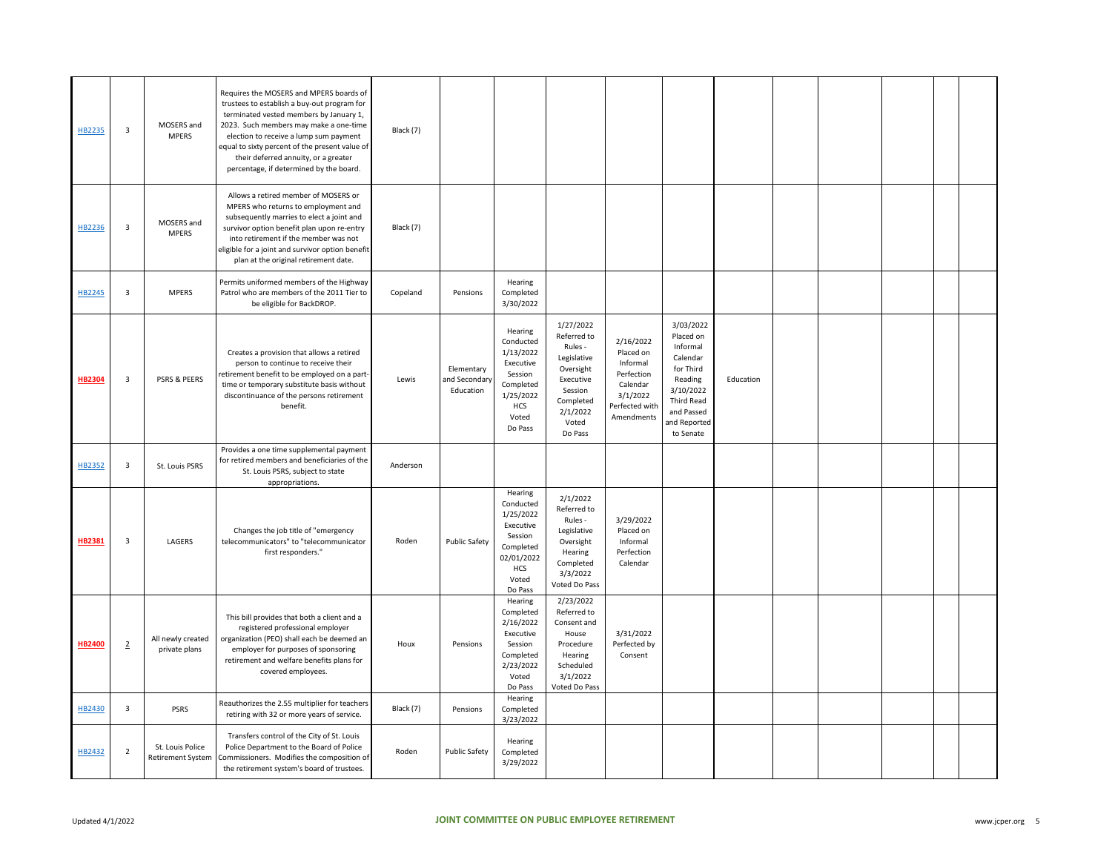| HB2235        | $\overline{\mathbf{3}}$ | MOSERS and<br><b>MPERS</b>                   | Requires the MOSERS and MPERS boards of<br>trustees to establish a buy-out program for<br>terminated vested members by January 1,<br>2023. Such members may make a one-time<br>election to receive a lump sum payment<br>equal to sixty percent of the present value of<br>their deferred annuity, or a greater<br>percentage, if determined by the board. | Black (7) |                                          |                                                                                                                        |                                                                                                                                      |                                                                                                          |                                                                                                                                                     |           |  |  |  |
|---------------|-------------------------|----------------------------------------------|------------------------------------------------------------------------------------------------------------------------------------------------------------------------------------------------------------------------------------------------------------------------------------------------------------------------------------------------------------|-----------|------------------------------------------|------------------------------------------------------------------------------------------------------------------------|--------------------------------------------------------------------------------------------------------------------------------------|----------------------------------------------------------------------------------------------------------|-----------------------------------------------------------------------------------------------------------------------------------------------------|-----------|--|--|--|
| HB2236        | $\overline{\mathbf{3}}$ | MOSERS and<br><b>MPERS</b>                   | Allows a retired member of MOSERS or<br>MPERS who returns to employment and<br>subsequently marries to elect a joint and<br>survivor option benefit plan upon re-entry<br>into retirement if the member was not<br>eligible for a joint and survivor option benefit<br>plan at the original retirement date.                                               | Black (7) |                                          |                                                                                                                        |                                                                                                                                      |                                                                                                          |                                                                                                                                                     |           |  |  |  |
| HB2245        | $\overline{\mathbf{3}}$ | <b>MPERS</b>                                 | Permits uniformed members of the Highway<br>Patrol who are members of the 2011 Tier to<br>be eligible for BackDROP.                                                                                                                                                                                                                                        | Copeland  | Pensions                                 | Hearing<br>Completed<br>3/30/2022                                                                                      |                                                                                                                                      |                                                                                                          |                                                                                                                                                     |           |  |  |  |
| <b>HB2304</b> | $\overline{\mathbf{3}}$ | <b>PSRS &amp; PEERS</b>                      | Creates a provision that allows a retired<br>person to continue to receive their<br>retirement benefit to be employed on a part<br>time or temporary substitute basis without<br>discontinuance of the persons retirement<br>benefit.                                                                                                                      | Lewis     | Elementary<br>and Secondary<br>Education | Hearing<br>Conducted<br>1/13/2022<br>Executive<br>Session<br>Completed<br>1/25/2022<br>HCS<br>Voted<br>Do Pass         | 1/27/2022<br>Referred to<br>Rules -<br>Legislative<br>Oversight<br>Executive<br>Session<br>Completed<br>2/1/2022<br>Voted<br>Do Pass | 2/16/2022<br>Placed on<br>Informal<br>Perfection<br>Calendar<br>3/1/2022<br>Perfected with<br>Amendments | 3/03/2022<br>Placed on<br>Informal<br>Calendar<br>for Third<br>Reading<br>3/10/2022<br><b>Third Read</b><br>and Passed<br>and Reported<br>to Senate | Education |  |  |  |
| HB2352        | $\overline{\mathbf{3}}$ | St. Louis PSRS                               | Provides a one time supplemental payment<br>for retired members and beneficiaries of the<br>St. Louis PSRS, subject to state<br>appropriations.                                                                                                                                                                                                            | Anderson  |                                          |                                                                                                                        |                                                                                                                                      |                                                                                                          |                                                                                                                                                     |           |  |  |  |
| HB2381        | $\overline{\mathbf{3}}$ | LAGERS                                       | Changes the job title of "emergency<br>telecommunicators" to "telecommunicator<br>first responders."                                                                                                                                                                                                                                                       | Roden     | <b>Public Safety</b>                     | Hearing<br>Conducted<br>1/25/2022<br>Executive<br>Session<br>Completed<br>02/01/2022<br><b>HCS</b><br>Voted<br>Do Pass | 2/1/2022<br>Referred to<br>Rules -<br>Legislative<br>Oversight<br>Hearing<br>Completed<br>3/3/2022<br>Voted Do Pass                  | 3/29/2022<br>Placed on<br>Informal<br>Perfection<br>Calendar                                             |                                                                                                                                                     |           |  |  |  |
| <b>HB2400</b> | $\overline{2}$          | All newly created<br>private plans           | This bill provides that both a client and a<br>registered professional employer<br>organization (PEO) shall each be deemed an<br>employer for purposes of sponsoring<br>retirement and welfare benefits plans for<br>covered employees.                                                                                                                    | Houx      | Pensions                                 | Hearing<br>Completed<br>2/16/2022<br>Executive<br>Session<br>Completed<br>2/23/2022<br>Voted<br>Do Pass                | 2/23/2022<br>Referred to<br>Consent and<br>House<br>Procedure<br>Hearing<br>Scheduled<br>3/1/2022<br>Voted Do Pass                   | 3/31/2022<br>Perfected by<br>Consent                                                                     |                                                                                                                                                     |           |  |  |  |
| HB2430        | $\overline{\mathbf{3}}$ | PSRS                                         | Reauthorizes the 2.55 multiplier for teachers<br>retiring with 32 or more years of service.                                                                                                                                                                                                                                                                | Black (7) | Pensions                                 | Hearing<br>Completed<br>3/23/2022                                                                                      |                                                                                                                                      |                                                                                                          |                                                                                                                                                     |           |  |  |  |
| HB2432        | $\overline{2}$          | St. Louis Police<br><b>Retirement System</b> | Transfers control of the City of St. Louis<br>Police Department to the Board of Police<br>Commissioners. Modifies the composition of<br>the retirement system's board of trustees.                                                                                                                                                                         | Roden     | <b>Public Safety</b>                     | Hearing<br>Completed<br>3/29/2022                                                                                      |                                                                                                                                      |                                                                                                          |                                                                                                                                                     |           |  |  |  |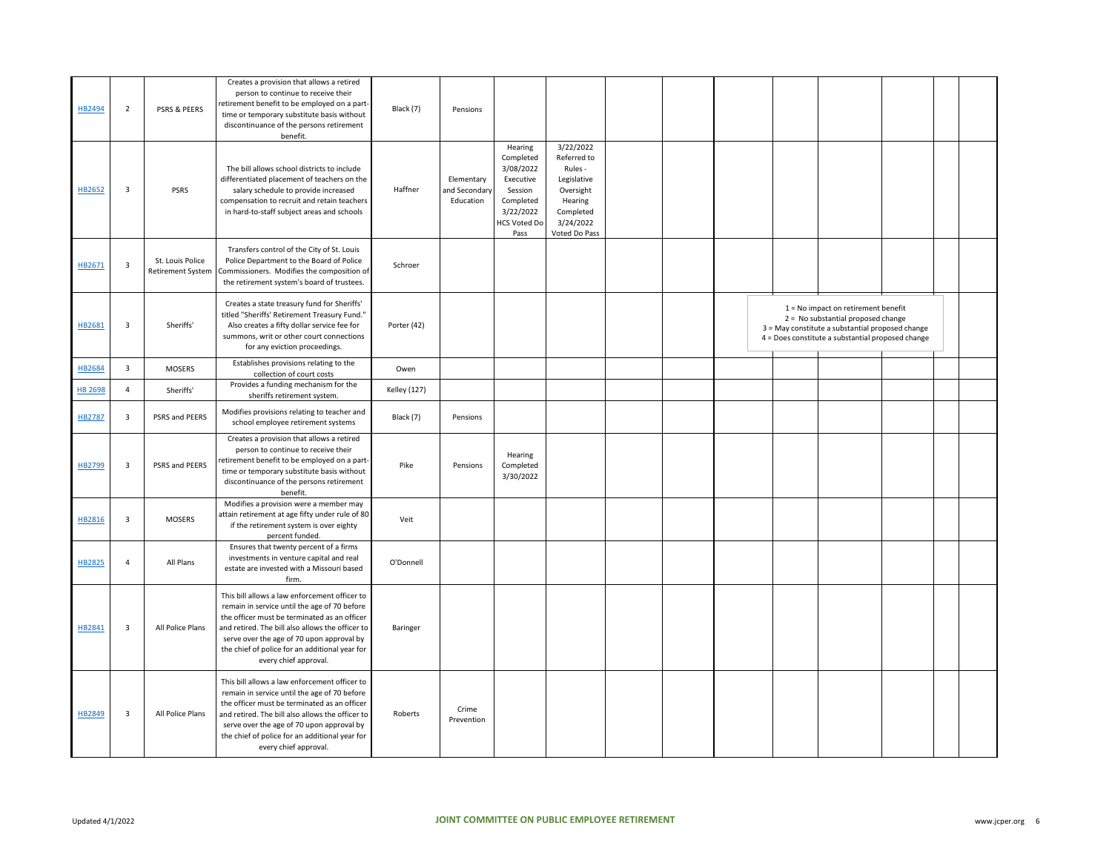| HB2494         | $\overline{2}$          | PSRS & PEERS                                 | Creates a provision that allows a retired<br>person to continue to receive their<br>retirement benefit to be employed on a part-<br>time or temporary substitute basis without<br>discontinuance of the persons retirement<br>benefit.                                                                                    | Black (7)           | Pensions                                 |                                                                                                                    |                                                                                                                       |  |  |                                                                                                                                                                                        |  |  |
|----------------|-------------------------|----------------------------------------------|---------------------------------------------------------------------------------------------------------------------------------------------------------------------------------------------------------------------------------------------------------------------------------------------------------------------------|---------------------|------------------------------------------|--------------------------------------------------------------------------------------------------------------------|-----------------------------------------------------------------------------------------------------------------------|--|--|----------------------------------------------------------------------------------------------------------------------------------------------------------------------------------------|--|--|
| HB2652         | $\overline{\mathbf{3}}$ | PSRS                                         | The bill allows school districts to include<br>differentiated placement of teachers on the<br>salary schedule to provide increased<br>compensation to recruit and retain teachers<br>in hard-to-staff subject areas and schools                                                                                           | Haffner             | Elementary<br>and Secondary<br>Education | Hearing<br>Completed<br>3/08/2022<br>Executive<br>Session<br>Completed<br>3/22/2022<br><b>HCS Voted Do</b><br>Pass | 3/22/2022<br>Referred to<br>Rules -<br>Legislative<br>Oversight<br>Hearing<br>Completed<br>3/24/2022<br>Voted Do Pass |  |  |                                                                                                                                                                                        |  |  |
| HB2671         | 3                       | St. Louis Police<br><b>Retirement System</b> | Transfers control of the City of St. Louis<br>Police Department to the Board of Police<br>Commissioners. Modifies the composition of<br>the retirement system's board of trustees.                                                                                                                                        | Schroer             |                                          |                                                                                                                    |                                                                                                                       |  |  |                                                                                                                                                                                        |  |  |
| HB2681         | $\overline{\mathbf{3}}$ | Sheriffs'                                    | Creates a state treasury fund for Sheriffs'<br>titled "Sheriffs' Retirement Treasury Fund."<br>Also creates a fifty dollar service fee for<br>summons, writ or other court connections<br>for any eviction proceedings.                                                                                                   | Porter (42)         |                                          |                                                                                                                    |                                                                                                                       |  |  | $1 = No$ impact on retirement benefit<br>$2 = No$ substantial proposed change<br>3 = May constitute a substantial proposed change<br>4 = Does constitute a substantial proposed change |  |  |
| HB2684         | $\overline{\mathbf{3}}$ | <b>MOSERS</b>                                | Establishes provisions relating to the<br>collection of court costs                                                                                                                                                                                                                                                       | Owen                |                                          |                                                                                                                    |                                                                                                                       |  |  |                                                                                                                                                                                        |  |  |
| <b>HB 2698</b> | $\overline{4}$          | Sheriffs'                                    | Provides a funding mechanism for the<br>sheriffs retirement system.                                                                                                                                                                                                                                                       | <b>Kelley (127)</b> |                                          |                                                                                                                    |                                                                                                                       |  |  |                                                                                                                                                                                        |  |  |
| HB2787         | $\overline{\mathbf{3}}$ | PSRS and PEERS                               | Modifies provisions relating to teacher and<br>school employee retirement systems                                                                                                                                                                                                                                         | Black (7)           | Pensions                                 |                                                                                                                    |                                                                                                                       |  |  |                                                                                                                                                                                        |  |  |
| HB2799         | $\overline{\mathbf{3}}$ | PSRS and PEERS                               | Creates a provision that allows a retired<br>person to continue to receive their<br>retirement benefit to be employed on a part-<br>time or temporary substitute basis without<br>discontinuance of the persons retirement<br>benefit.                                                                                    | Pike                | Pensions                                 | Hearing<br>Completed<br>3/30/2022                                                                                  |                                                                                                                       |  |  |                                                                                                                                                                                        |  |  |
| HB2816         | $\overline{\mathbf{3}}$ | <b>MOSERS</b>                                | Modifies a provision were a member may<br>attain retirement at age fifty under rule of 80<br>if the retirement system is over eighty<br>percent funded.                                                                                                                                                                   | Veit                |                                          |                                                                                                                    |                                                                                                                       |  |  |                                                                                                                                                                                        |  |  |
| HB2825         | $\overline{4}$          | All Plans                                    | Ensures that twenty percent of a firms<br>investments in venture capital and real<br>estate are invested with a Missouri based<br>firm.                                                                                                                                                                                   | O'Donnell           |                                          |                                                                                                                    |                                                                                                                       |  |  |                                                                                                                                                                                        |  |  |
| HB2841         | $\overline{\mathbf{3}}$ | All Police Plans                             | This bill allows a law enforcement officer to<br>remain in service until the age of 70 before<br>the officer must be terminated as an officer<br>and retired. The bill also allows the officer to<br>serve over the age of 70 upon approval by<br>the chief of police for an additional year for<br>every chief approval. | Baringer            |                                          |                                                                                                                    |                                                                                                                       |  |  |                                                                                                                                                                                        |  |  |
| HB2849         | 3                       | All Police Plans                             | This bill allows a law enforcement officer to<br>remain in service until the age of 70 before<br>the officer must be terminated as an officer<br>and retired. The bill also allows the officer to<br>serve over the age of 70 upon approval by<br>the chief of police for an additional year for<br>every chief approval. | Roberts             | Crime<br>Prevention                      |                                                                                                                    |                                                                                                                       |  |  |                                                                                                                                                                                        |  |  |